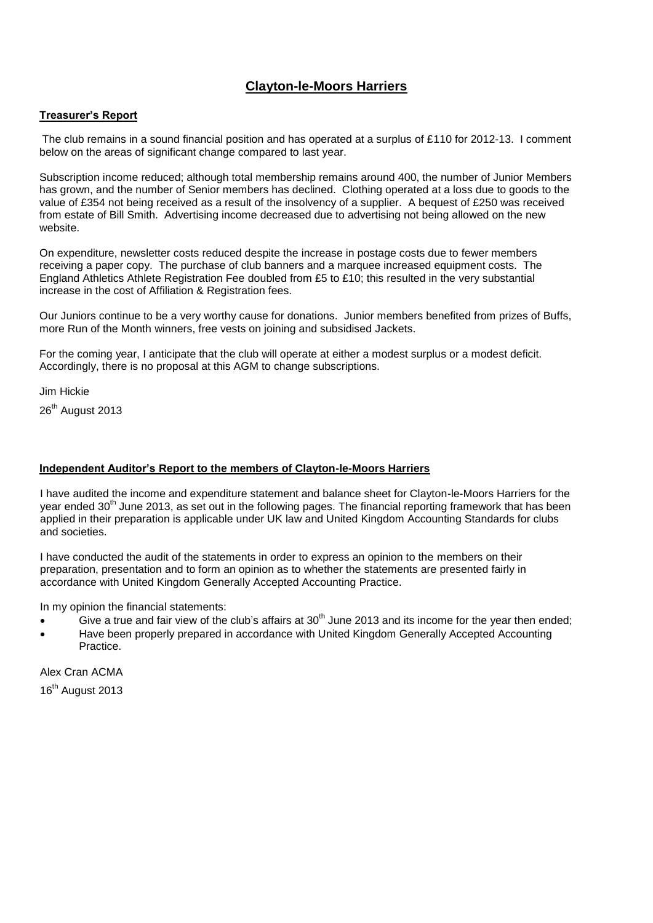# **Clayton-le-Moors Harriers**

#### **Treasurer's Report**

The club remains in a sound financial position and has operated at a surplus of £110 for 2012-13. I comment below on the areas of significant change compared to last year.

Subscription income reduced; although total membership remains around 400, the number of Junior Members has grown, and the number of Senior members has declined. Clothing operated at a loss due to goods to the value of £354 not being received as a result of the insolvency of a supplier. A bequest of £250 was received from estate of Bill Smith. Advertising income decreased due to advertising not being allowed on the new website.

On expenditure, newsletter costs reduced despite the increase in postage costs due to fewer members receiving a paper copy. The purchase of club banners and a marquee increased equipment costs. The England Athletics Athlete Registration Fee doubled from £5 to £10; this resulted in the very substantial increase in the cost of Affiliation & Registration fees.

Our Juniors continue to be a very worthy cause for donations. Junior members benefited from prizes of Buffs, more Run of the Month winners, free vests on joining and subsidised Jackets.

For the coming year, I anticipate that the club will operate at either a modest surplus or a modest deficit. Accordingly, there is no proposal at this AGM to change subscriptions.

Jim Hickie

26<sup>th</sup> August 2013

### **Independent Auditor's Report to the members of Clayton-le-Moors Harriers**

I have audited the income and expenditure statement and balance sheet for Clayton-le-Moors Harriers for the vear ended 30<sup>th</sup> June 2013, as set out in the following pages. The financial reporting framework that has been applied in their preparation is applicable under UK law and United Kingdom Accounting Standards for clubs and societies.

I have conducted the audit of the statements in order to express an opinion to the members on their preparation, presentation and to form an opinion as to whether the statements are presented fairly in accordance with United Kingdom Generally Accepted Accounting Practice.

In my opinion the financial statements:

- Give a true and fair view of the club's affairs at  $30<sup>th</sup>$  June 2013 and its income for the year then ended;
- Have been properly prepared in accordance with United Kingdom Generally Accepted Accounting Practice.

Alex Cran ACMA

16<sup>th</sup> August 2013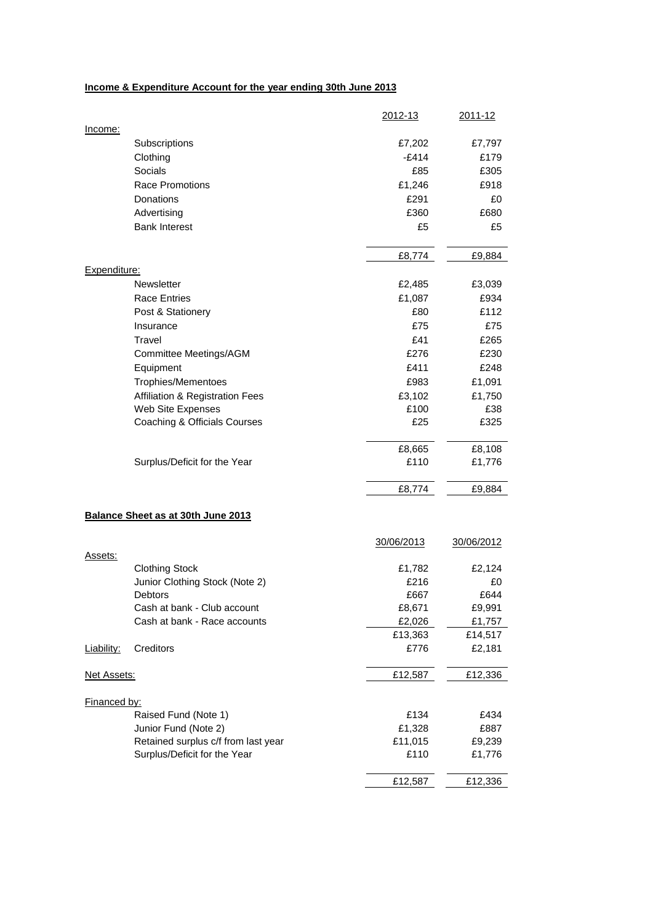## **Income & Expenditure Account for the year ending 30th June 2013**

|                                           |                                                                     | 2012-13         | <u>2011-12</u>   |
|-------------------------------------------|---------------------------------------------------------------------|-----------------|------------------|
| Income:                                   |                                                                     |                 |                  |
|                                           | Subscriptions                                                       | £7,202          | £7,797           |
|                                           | Clothing                                                            | $-E414$         | £179             |
|                                           | Socials                                                             | £85             | £305             |
|                                           | <b>Race Promotions</b>                                              | £1,246          | £918             |
|                                           | Donations                                                           | £291            | £0               |
|                                           | Advertising                                                         | £360            | £680             |
|                                           | <b>Bank Interest</b>                                                | £5              | £5               |
|                                           |                                                                     | £8,774          | £9,884           |
| Expenditure:                              |                                                                     |                 |                  |
|                                           | Newsletter                                                          | £2,485          | £3,039           |
|                                           | <b>Race Entries</b>                                                 | £1,087          | £934             |
|                                           | Post & Stationery                                                   | £80             | £112             |
|                                           | Insurance                                                           | £75             | £75              |
|                                           | Travel                                                              | £41             | £265             |
|                                           | Committee Meetings/AGM                                              | £276            | £230             |
|                                           | Equipment                                                           | £411            | £248             |
|                                           | Trophies/Mementoes                                                  | £983            | £1,091           |
|                                           | Affiliation & Registration Fees                                     | £3,102          | £1,750           |
|                                           | Web Site Expenses                                                   | £100            | £38              |
|                                           | Coaching & Officials Courses                                        | £25             | £325             |
|                                           |                                                                     |                 |                  |
|                                           |                                                                     | £8,665          | £8,108           |
|                                           | Surplus/Deficit for the Year                                        | £110            | £1,776           |
|                                           |                                                                     | £8,774          | £9,884           |
| <b>Balance Sheet as at 30th June 2013</b> |                                                                     |                 |                  |
|                                           |                                                                     | 30/06/2013      | 30/06/2012       |
| Assets:                                   |                                                                     |                 |                  |
|                                           | <b>Clothing Stock</b>                                               | £1,782          | £2,124           |
|                                           | Junior Clothing Stock (Note 2)                                      | £216            | £0               |
|                                           | Debtors                                                             | £667            | £644             |
|                                           | Cash at bank - Club account                                         | £8,671          | £9,991           |
|                                           | Cash at bank - Race accounts                                        | £2,026          | £1,757           |
|                                           |                                                                     | £13,363         | £14,517          |
| Liability:                                | Creditors                                                           | £776            | £2,181           |
| <u>Net Assets:</u>                        |                                                                     | £12,587         | £12,336          |
|                                           |                                                                     |                 |                  |
| Financed by:                              |                                                                     |                 |                  |
|                                           | Raised Fund (Note 1)                                                | £134            | £434             |
|                                           | Junior Fund (Note 2)                                                | £1,328          | £887             |
|                                           | Retained surplus c/f from last year<br>Surplus/Deficit for the Year | £11,015<br>£110 | £9,239<br>£1,776 |
|                                           |                                                                     |                 |                  |
|                                           |                                                                     | £12,587         | £12,336          |